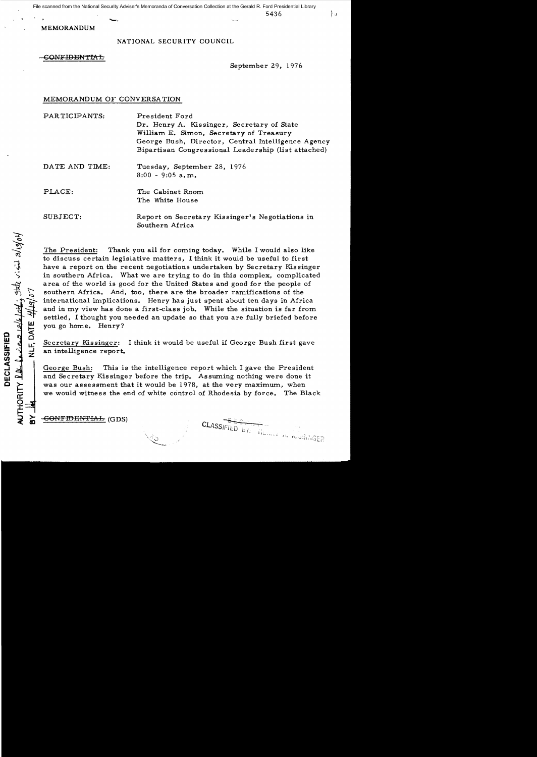$\sim$  5436

MEMORANDUM

# NATIONAL SECURITY COUNCIL

### {;ONFIDENl'IAE-

September 29, 1976

 $\}$   $\mu$ 

### MEMORANDUM OF CONVERSATION

PARTICIPANTS: President Ford Dr. Henry A. Kissinger, Secretary of State William E. Simon, Secretary of Treasury George Bush, Director, Central Intelligence Agency Bipartisan Congressional Leadership (list attached)

> The Cabinet Room The White House

DATE AND TIME: Tuesday, September 28, 1976 8:00 - 9:05 a.m.

PLACE:

SUBJECT:

NLF, DATE

AUTHORITY  $\Omega \mathcal{X}$   $\mathcal{Y}$   $\mathcal{X}$ 

DECLASSIFIED

 $\sim$ 

by a state is in all of

Report on Secretary Kissinger's Negotiations in Southern Africa

The President: Thank you all for coming today. While I would also like to discuss certain legislative matters, I think it would be useful to first have a report on the recent negotiations undertaken by Secretary Kissinger in southern Africa. What we are trying to do in this complex, complicated area of the world is good for the United States and good for the people of southern Africa. And, too, there are the broader ramifications of the international implications. Henry has just spent about ten days in Africa and in my view has done a first-class job. While the situation is far from settled, I thought you needed an update so that you are fully briefed before you go home. Henry?

Secretary Kissinger: I think it would be useful if George Bush first gave an intelligence report.

George Bush: This is the intelligence report which I gave the President and Secretary Kissinger before the trip. Assuming nothing were done it was our assessment that it would be 1978, at the very maximum, when we would witness the end of white control of Rhodesia by force. The Black

CONFIDENTIAL (GDS)

CLASSIFIED by: IL MANGUISER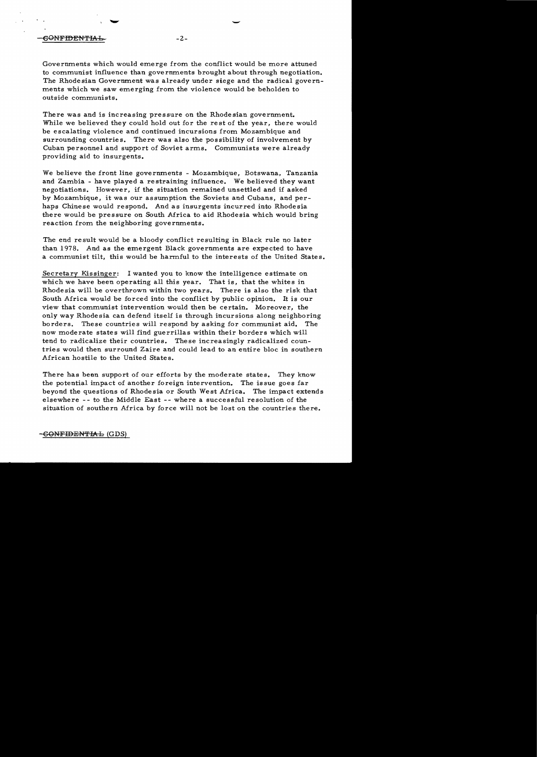## eONFIDENTIAL- 2-

Governments which would emerge from the conflict would be more attuned to communist influence than governments brought about through negotiation. The Rhodesian Government was already under siege and the radical governments which we saw emerging from the violence would be beholden to outside communists.

There was and is increasing pressure on the Rhodesian government. While we believed they could hold out for the rest of the year, there would be escalating violence and continued incursions from Mozambique and surrounding countries. There was also the possibility of involvement by Cuban personnel and support of Soviet arms. Communists were already providing aid to insurgents.

We believe the front line governments - Mozambique, Botswana, Tanzania and Zambia - have played a restraining influence. We believed they want negotiations. However, if the situation remained unsettled and if asked by Mozambique, it was our assumption the Soviets and Cubans, and perhaps Chinese would respond. And as insurgents incurred into Rhodesia there would be pressure on South Mrica to aid Rhodesia which would bring reaction from the neighboring governments.

The end result would be a bloody conflict resulting in Black rule no later than 1978. And as the emergent Black governments are expected to have a communist tilt, this would be harmful to the interests of the United States.

Secretary Kissinger: I wanted you to know the intelligence estimate on which we have been operating all this year. That is, that the whites in Rhodesia will be overthrown within two years. There is also the risk that South Africa would be forced into the conflict by public opinion. It is our view that communist intervention would then be certain. Moreover, the only way Rhodesia can defend itself is through incursions along neighboring borders. These countries will respond by asking for communist aid. The now moderate states will find guerrillas within their borders which will tend to radicalize their countries. These increasingly radicalized countries would then surround Zaire and could lead to an entire bloc in southern African hostile to the United States.

There has bean support of our efforts by the moderate states. They know the potential impact of another foreign intervention. The issue goes far beyond the questions of Rhodesia or South West Africa. The impact extends elsewhere -- to the Middle East -- where a successful resolution of the situation of southern Africa by force will not be lost on the countries there.

-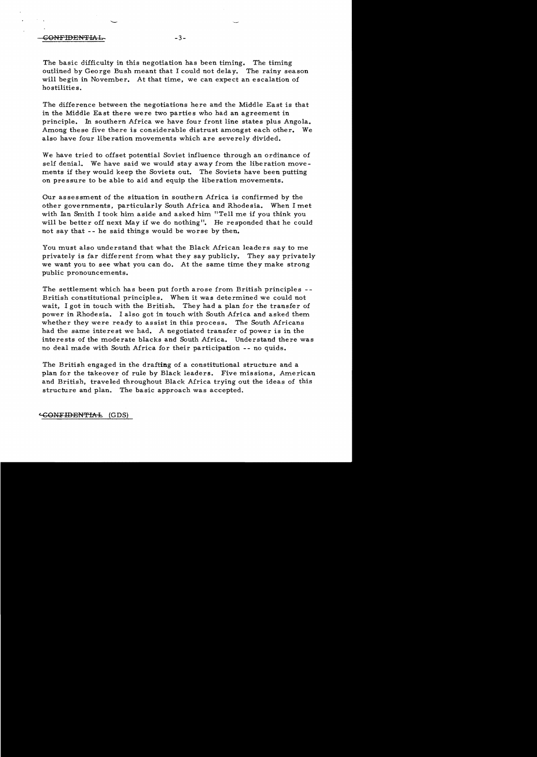### CONFIDENTIAL- -3

The basic difficulty in this negotiation has been timing. The timing outlined by George Bush meant that I could not delay. The rainy season will begin in November. At that time, we can expect an escalation of hostilities.

The difference between the negotiations here and the Middle East is that in the Middle East there were two parties who had an agreement in principle. In southern Africa we have four front line states plus Angola. Among these five there is considerable distrust amongst each other. We also have four liberation movements which are severely divided.

We have tried to offset potential Soviet influence through an ordinance of self denial. We have said we would stay away from the liberation movements if they would keep the Soviets out. The Soviets have been putting on pressure to be able to aid and equip the liberation movements.

Our assessment of the situation in southern Africa is confirmed by the other governments, particularly South Africa and Rhodesia. When I met with Ian Smith I took him aside and asked him "Tell me if you think you will be better off next *May* if we do nothing". He responded that he could not say that - - he said things would be worse by then.

You must also understand that what the Black African leaders *say* to me privately is far different from what they say publicly. They say privately we want you to see what you can do. At the same time they make strong public pronouncements.

The settlement which has been put forth arose from British principles British constitutional principles. When it was determined we could not wait, I got in touch with the British. They had a plan for the transfer of power in Rhodesia. I also got in touch with South Africa and asked them whether they were ready to assist in this process. The South Africans had the same interest we had. A negotiated transfer of power is in the interests of the moderate blacks and South Africa. Understand there was no deal made with South Africa for their participation - - no quids.

The British engaged in the drafting of a constitutional structure and a plan for the takeover of rule by Black leaders. Five missions, American and British, traveled throughout Black Africa trying out the ideas of this structure and plan. The basic approach was accepted.

4;ONF'IDENTIAt (GDS)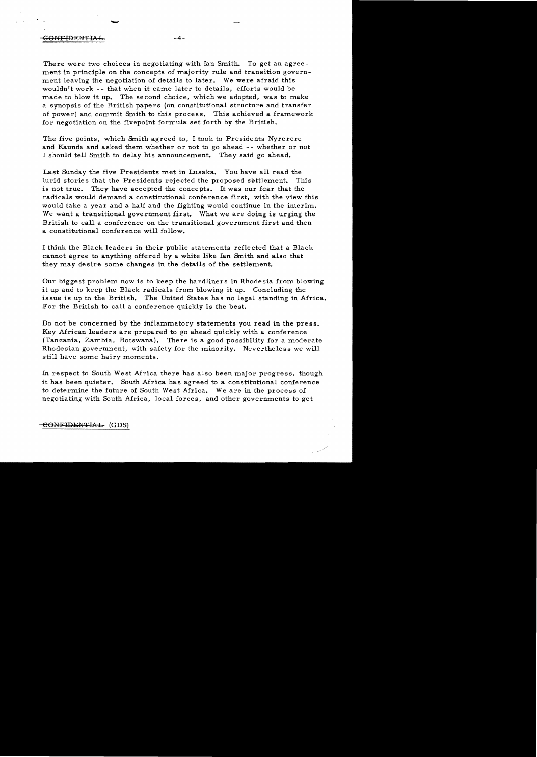### -GONFIDENTIAf... -4

There were two choices in negotiating with Ian Smith. To get an agreement in principle on the concepts of majority rule and transition government leaving the negotiation of details to later. We were afraid this wouldn't work -- that when it came later to details, efforts would be made to blow it up. The second choice, which we adopted, was to make a synopsis of the British papers (on constitutional structure and transfer of power) and commit Smith to this process. This achieved a framework for negotiation on the fivepoint formula set forth by the British.

The five points, which Smith agreed to, I took to Presidents Nyrerere and Kaunda and asked them whether or not to go ahead -- whether or not I should tell Smith to delay his announcement. They said go ahead.

Last Sunday the five Presidents met in Lusaka. You have all read the lurid stories that the Presidents rejected the proposed settlement. This is not true. They have accepted the concepts. It was our fear that the radicals would demand a constitutional conference first. with the view this would take a year and a half and the fighting would continue in the interim. We want a transitional government first. What we are doing is urging the British to call a conference on the transitional government first and then a constitutional conference will follow.

I think the Black leaders in their public statements reflected that a Black cannot agree to anything offered by a white like Ian Smith and also that they may desire some changes in the details of the settlement.

Our biggest problem now is to keep the hardliners in Rhodesia from blowing it up and to keep the Black radicals from blowing it up. Concluding the issue is up to the British. The United States has no legal standing in Africa. For the British to call a conference quickly is the best.

Do not be concerned by the inflammatory statements you read in the press. Key African leaders are prepared to go ahead quickly with a conference (Tanzania, Zambia. Botswana). There is a good possibility for a moderate Rhodesian government. with safety for the minority. Nevertheless we will still have some hairy moments.

In respect to South West Africa there has also been major progress, though it has been quieter. South Africa has agreed to a constitutional conference to determine the future of South West Africa. We are in the process of negotiating with South Africa. local forces. and other governments to get

CONFIDENTIAL (GDS)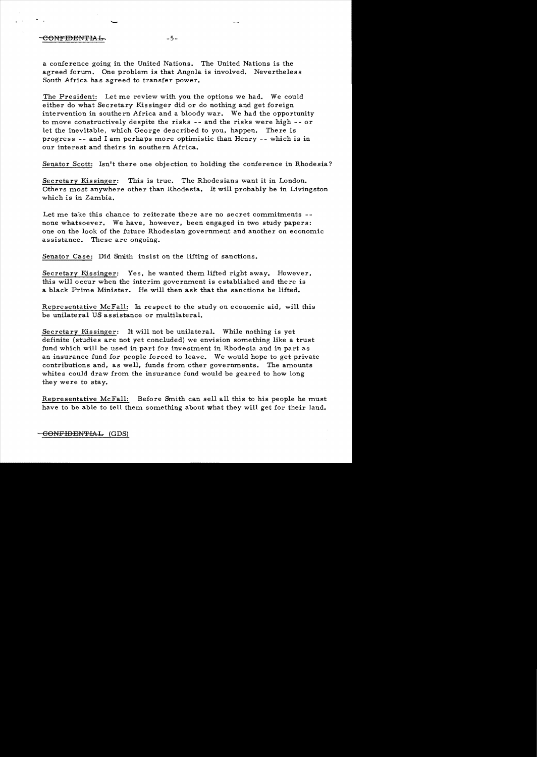# **-5-**

-

a conference going in the United Nations. The United Nations is the agreed forum. One problem is that Angola is involved. Nevertheles s South Africa has agreed to transfer power.

The President: Let me review with you the options we had. We could either do what Secretary Kissinger did or do nothing and get foreign intervention in southern Africa and a bloody war. We had the opportunity to move constructively despite the risks **--** and the risks were high -- or let the inevitable, which George described to you, happen. There is progress -- and I am perhaps more optimistic than Henry -- which is in our interest and theirs in southern Africa.

Senator Scott: Isn't there one objection to holding the conference in Rhodesia?

Secretary Kissinger: This is true. The Rhodesians want it in London. Others most anywhere other than Rhodesia. It will probably be in Livingston which is in Zambia.

Let me take this chance to reiterate there are no secret commitments -none whatsoever. We have, however, been engaged in two study papers: one on the look of the future Rhodesian government and another on economic assistance. These are ongoing.

Senator Case: Did Smith insist on the lifting of sanctions.

Secretary Kissinger: Yes, he wanted them lifted right away. However, this will occur when the interim government is established and there is a black Prime Minister. He will then ask that the sanctions be lifted.

Representative McFall: In respect to the study on economic aid, will this be unilateral US assistance or multilateral.

Secretary Kissinger: It will not be unilateral. While nothing is yet definite (studies are not yet concluded) we envision something like a trust fund which will be used in part for investment in Rhodesia and in part as an insurance fund for people forced to leave. We would hope to get private contributions and, as well, funds from other governments. The amounts whites could draw from the insurance fund would be geared to how long they were to stay.

Representative McFall: Before Smith can sell all this to his people he must have to be able to tell them something about what they will get for their land.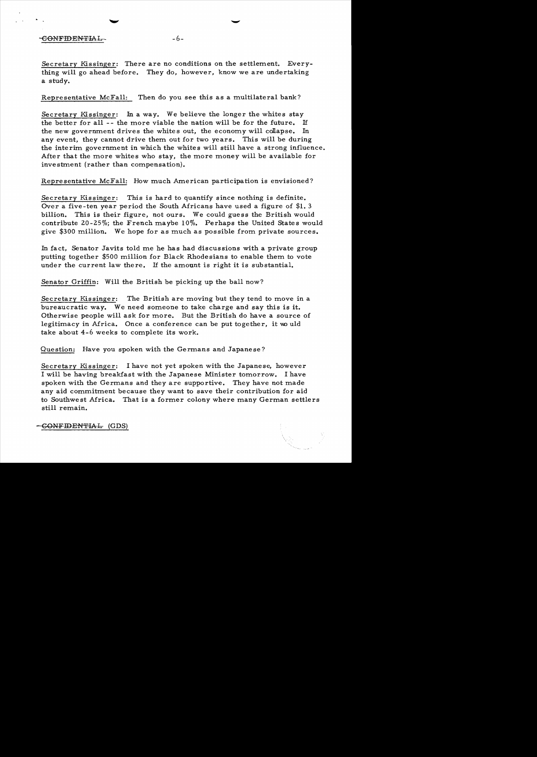## CONFIDENTIAL-<br>-6-

Secretary Kissinger: There are no conditions on the settlement. Everything will go ahead before. They do, however, know we are undertaking a study.

-

Representative McFall: Then do you see this as a multilateral bank?

Secretary Kissinger: In a way. We believe the longer the whites stay the better for all  $-$ - the more viable the nation will be for the future. If the new government drives the whites out, the economy will collapse. In any event, they cannot drive them out for two years. This will be during the interim government in which the whites will still have a strong influence. After that the more whites who stay, the more money will be available for investment (rather than compensation).

Representative McFall: How much American participation is envisioned?

Secretary Kissinger: This is hard to quantify since nothing is definite. Over a five-ten year period the South Africans have used a figure of \$1. 3 billion. This is their figure, not ours. We could guess the British would contribute 20-25%; the French maybe  $10\%$ . Perhaps the United States would give  $$300$  million. We hope for as much as possible from private sources.

In fact, Senator Javits told me he has had discussions with a private group putting together \$500 million for Black Rhodesians to enable them to vote under the current law there. If the amount is right it is substantial.

Senator Griffin: Will the British be picking up the ball now?

Secretary Kissinger: The British are moving but they tend to move in a bureaucratic way. We need someone to take charge and say this is it. Otherwise people will ask for more. But the British do have a source of legitimacy in Africa. Once a conference can be put together, it would take about 4-6 weeks to complete its work.

Question: Have you spoken with the Germans and Japanese?

Secretary Kissinger: I have not yet spoken with the Japanese, however I will be having breakfast with the Japanese Minister tomorrow. I have spoken with the Germans and they are supportive. They have not made any aid commitment because they want to save their contribution for aid to Southwest Africa. That is a former colony where many German settlers still remain.

-GONFIDENTIAL (GDS)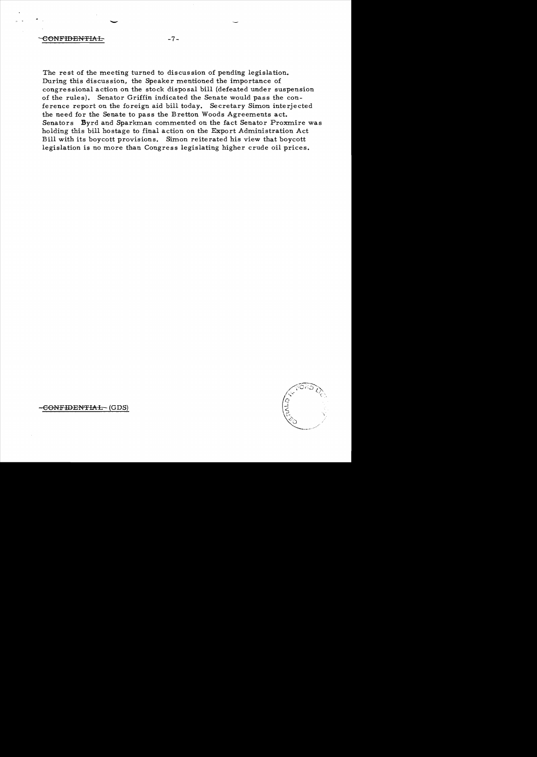-

The rest of the meeting turned to discussion of pending legislation. During this discussion, the Speaker mentioned the importance of congre ssional action on the stock disposal bill (defeated under suspension of the rules). Senator Griffin indicated the Senate would pass the conference report on the foreign aid bill today. Secretary Simon interjected the need for the Senate to pass the Bretton Woods Agreements act. Senators Byrd and Sparkman commented on the fact Senator Proxmire was holding this bill hostage to final action on the Export Administration Act Bill with its boycott provisions. Simon reiterated his view that boycott legislation is no more than Congress legislating higher crude oil prices.

CONFIDENTIAL (GDS)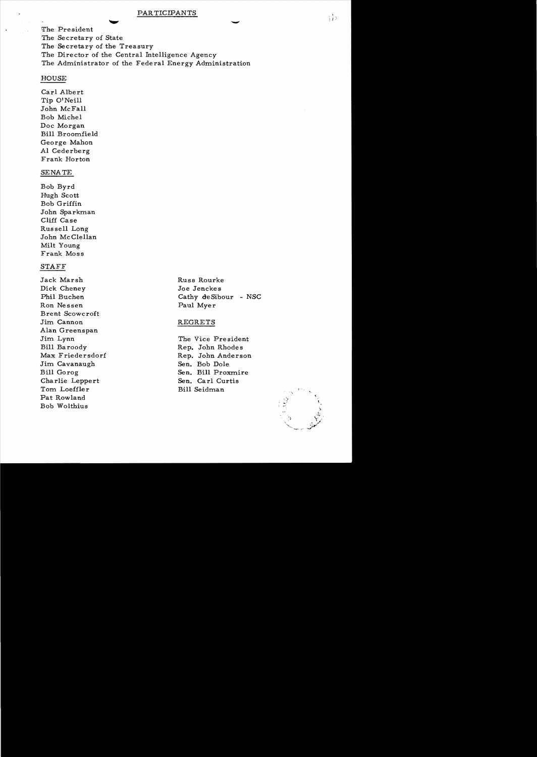### PARTICIPANTS

PARTICIPANTS<br>The President  $\bullet$ The Secretary of State The Secretary of the Treasury The Director of the Central Intelligence Agency The Administrator of the Federal Energy Administration

# HOUSE

Carl Albert Tip O'Neill John McFall Bob Michel Doc Morgan Bill Broomfield George Mahon Al Cederberg Frank Horton

## SENATE

Bob Byrd Hugh Scott Bob Griffin John Sparkman Cliff Case Rus sell Long John Mc Clellan Milt Young Frank Moss

# STAFF

Jack Marsh Russ Rourke Dick Cheney Joe Jenckes Ron Nessen Paul Myer Brent Scowcroft Jim Cannon REGRETS Alan Greenspan Jim Lynn The Vice President Bill Baroody Rep. John Rhodes Jim Cavanaugh Sen. Bob Dole Charlie Leppert Sen. Carl Curtis Tom Loeffler Bill Seidman .. Pat Rowland Bob Wolthius

Phil Buchen Cathy de Sibour - NSC

Max Friedersdorf Rep. John Anderson Bill Gorog Sen. Bill Proxmire

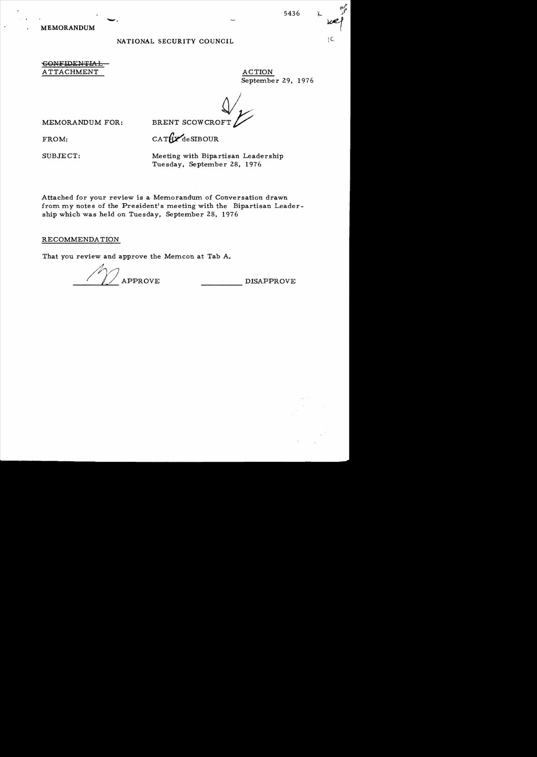MEMORANDUM

# NATIONAL SECURITY COUNCIL

CONFIDENTIAL A TTACHMENT ACTION

September 29, 1976

 $\bigvee_{\mathcal{L}}$ 

MEMORANDUM FOR:

BRENT SCOWCROF

FROM:  $CAT\mathbf{Y}_{\text{deSIBOUR}}$ 

SUBJECT: Meeting with Bipartisan Leadership Tuesday, September 28, 1976

 $-$ , 5436  $\uparrow$ 

Attached for your review is a Memorandum of Conversation drawn from my notes of the President's meeting with the Bipartisan Leadership which was held on Tuesday, September 28, 1976

RECOMMENDATION

That you review and approve the Memcon at Tab A.

/T} APPROVE \_\_\_\_\_ DISAPPROVE